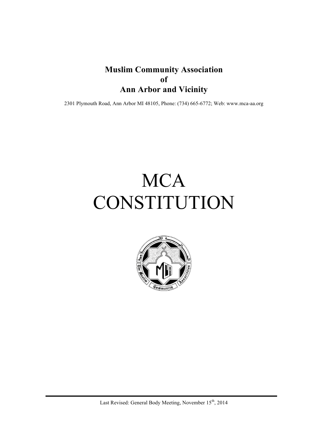### **Muslim Community Association of Ann Arbor and Vicinity**

2301 Plymouth Road, Ann Arbor MI 48105, Phone: (734) 665-6772; Web: www.mca-aa.org

# **MCA** CONSTITUTION

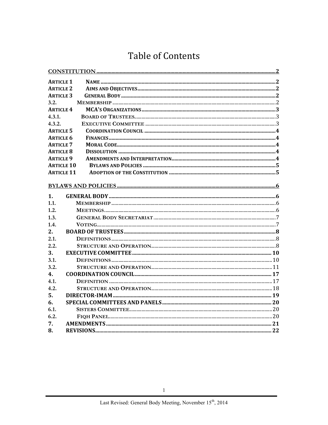### **Table of Contents**

| <b>ARTICLE 1</b>  |  |
|-------------------|--|
| <b>ARTICLE 2</b>  |  |
| <b>ARTICLE 3</b>  |  |
| 3.2.              |  |
| <b>ARTICLE 4</b>  |  |
| 4.3.1.            |  |
| 4.3.2.            |  |
| <b>ARTICLE 5</b>  |  |
| <b>ARTICLE 6</b>  |  |
| <b>ARTICLE 7</b>  |  |
| <b>ARTICLE 8</b>  |  |
| <b>ARTICLE 9</b>  |  |
| <b>ARTICLE 10</b> |  |
| <b>ARTICLE 11</b> |  |
|                   |  |
|                   |  |
| $\mathbf{1}$ .    |  |
| 1.1.              |  |
| 1.2.              |  |
| 1.3.              |  |
| 1.4.              |  |
| 2.                |  |
| 2.1.              |  |
| 2.2.              |  |
| 3.                |  |
| 3.1.              |  |
| 3.2.              |  |
| 4.                |  |
| 4.1.              |  |
| 4.2.              |  |
| 5.                |  |
| 6.                |  |
| 6.1.              |  |
| 6.2.              |  |
| 7.                |  |
| 8.                |  |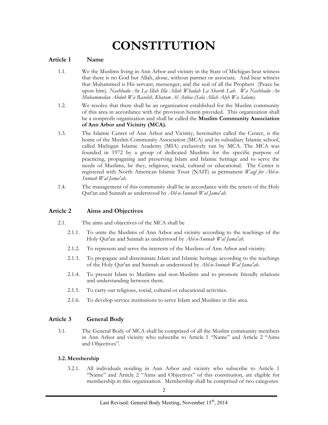# **CONSTITUTION**

#### **Article 1 Name**

- 1.1. We the Muslims living in Ann Arbor and vicinity in the State of Michigan bear witness that there is no God but Allah, alone, without partner or associate. And bear witness that Muhammed is His servant, messenger, and the seal of all the Prophets (Peace be upon him). *Nashhadu An La Illah Illa Allah Whadah La Sharik Lah. Wa Nashhadu An Muhammedan Abduh Wa Rasoleh, Khatam Al Anbia (Sala Allah Alyh Wa Salam).*
- 1.2. We resolve that there shall be an organization established for the Muslim community of this area in accordance with the provision herein provided. This organization shall be a nonprofit organization and shall be called the **Muslim Community Association of Ann Arbor and Vicinity (MCA).**
- 1.3. The Islamic Center of Ann Arbor and Vicinity, hereinafter called the Center, is the home of the Muslim Community Association (MCA) and its subsidiary Islamic school, called Michigan Islamic Academy (MIA) exclusively run by MCA. The MCA was founded in 1972 by a group of dedicated Muslims for the specific purpose of practicing, propagating and preserving Islam and Islamic heritage and to serve the needs of Muslims, be they, religious, social, cultural or educational. The Center is registered with North American Islamic Trust (NAIT) as permanent *Waqf for Ahl-u-Sunnah Wal Jama'ah.*
- 1.4. The management of this community shall be in accordance with the tenets of the Holy Qur'an and Sunnah as understood by *Ahl-u-Sunnah Wal Jama'ah.*

#### **Article 2 Aims and Objectives**

- 2.1. The aims and objectives of the MCA shall be
	- 2.1.1. To unite the Muslims of Ann Arbor and vicinity according to the teachings of the Holy Qur'an and Sunnah as understood by *Ahl-u-Sunnah Wal Jama'ah.*
	- 2.1.2. To represent and serve the interests of the Muslims of Ann Arbor and vicinity.
	- 2.1.3. To propagate and disseminate Islam and Islamic heritage according to the teachings of the Holy Qur'an and Sunnah as understood by *Ahl-u-Sunnah Wal Jama'ah*.
	- 2.1.4. To present Islam to Muslims and non-Muslims and to promote friendly relations and understanding between them.
	- 2.1.5. To carry out religious, social, cultural or educational activities.
	- 2.1.6. To develop service institutions to serve Islam and Muslims in this area.

#### **Article 3 General Body**

3.1. The General Body of MCA shall be comprised of all the Muslim community members in Ann Arbor and vicinity who subscribe to Article 1 "Name" and Article 2 "Aims and Objectives".

#### **3.2. Membership**

3.2.1. All individuals residing in Ann Arbor and vicinity who subscribe to Article 1 "Name" and Article 2 "Aims and Objectives" of this constitution, are eligible for membership in this organization. Membership shall be comprised of two categories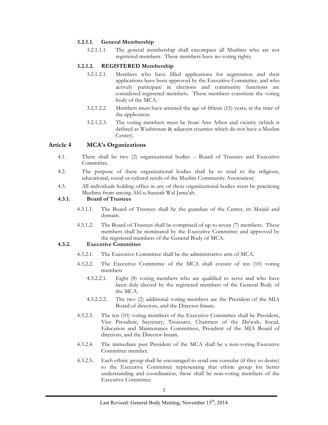#### **3.2.1.1. General Membership**

3.2.1.1.1. The general membership shall encompass all Muslims who are not registered members. These members have no voting rights.

#### **3.2.1.2. REGISTERED Membership**

- 3.2.1.2.1. Members who have filled applications for registration and their applications have been approved by the Executive Committee, and who actively participate in elections and community functions are considered registered members. These members constitute the voting body of the MCA.
- 3.2.1.2.2. Members must have attained the age of fifteen (15) years, at the time of the application.
- 3.2.1.2.3. The voting members must be from Ann Arbor and vicinity (which is defined as Washtenaw & adjacent counties which do not have a Muslim Center).

#### **Article 4 MCA's Organizations**

- 4.1. There shall be two (2) organizational bodies Board of Trustees and Executive Committee.
- 4.2. The purpose of these organizational bodies shall be to tend to the religious, educational, social or cultural needs of the Muslim Community Association.
- 4.3. All individuals holding office in any of these organizational bodies must be practicing Muslims from among Ahl-u-Sunnah Wal Jama'ah.

#### **4.3.1. Board of Trustees**

- 4.3.1.1. The Board of Trustees shall be the guardian of the Center, its Masjid and domain.
- 4.3.1.2. The Board of Trustees shall be comprised of up to seven (7) members. These members shall be nominated by the Executive Committee and approved by the registered members of the General Body of MCA.

#### **4.3.2. Executive Committee**

- 4.3.2.1. The Executive Committee shall be the administrative arm of MCA.
- 4.3.2.2. The Executive Committee of the MCA shall consist of ten (10) voting members
	- 4.3.2.2.1. Eight (8) voting members who are qualified to serve and who have been duly elected by the registered members of the General Body of the MCA.
	- 4.3.2.2.2. The two (2) additional voting members are the President of the MIA Board of directors, and the Director-Imam.
- 4.3.2.3. The ten (10) voting members of the Executive Committee shall be President, Vice President, Secretary, Treasurer, Chairmen of the Da'wah, Social, Education and Maintenance Committees, President of the MIA Board of directors, and the Director-Imam.
- 4.3.2.4. The immediate past President of the MCA shall be a non-voting Executive Committee member.
- 4.3.2.5. Each ethnic group shall be encouraged to send one consular (if they so desire) to the Executive Committee representing that ethnic group for better understanding and coordination, these shall be non-voting members of the Executive Committee.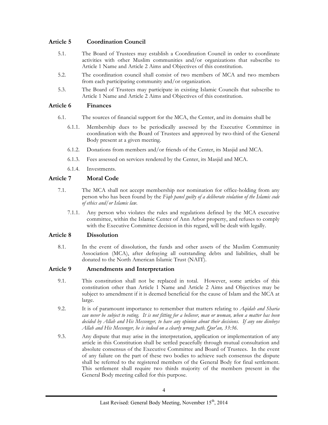#### **Article 5 Coordination Council**

- 5.1. The Board of Trustees may establish a Coordination Council in order to coordinate activities with other Muslim communities and/or organizations that subscribe to Article 1 Name and Article 2 Aims and Objectives of this constitution.
- 5.2. The coordination council shall consist of two members of MCA and two members from each participating community and/or organization.
- 5.3. The Board of Trustees may participate in existing Islamic Councils that subscribe to Article 1 Name and Article 2 Aims and Objectives of this constitution.

#### **Article 6 Finances**

- 6.1. The sources of financial support for the MCA, the Center, and its domains shall be
	- 6.1.1. Membership dues to be periodically assessed by the Executive Committee in coordination with the Board of Trustees and approved by two-third of the General Body present at a given meeting.
	- 6.1.2. Donations from members and/or friends of the Center, its Masjid and MCA.
	- 6.1.3. Fees assessed on services rendered by the Center, its Masjid and MCA.
	- 6.1.4. Investments.

#### **Article 7 Moral Code**

- 7.1. The MCA shall not accept membership nor nomination for office-holding from any person who has been found by the *Fiqh panel guilty of a deliberate violation of the Islamic code of ethics and/or Islamic law.*
	- 7.1.1. Any person who violates the rules and regulations defined by the MCA executive committee, within the Islamic Center of Ann Arbor property, and refuses to comply with the Executive Committee decision in this regard, will be dealt with legally.

#### **Article 8 Dissolution**

8.1. In the event of dissolution, the funds and other assets of the Muslim Community Association (MCA), after defraying all outstanding debts and liabilities, shall be donated to the North American Islamic Trust (NAIT).

#### **Article 9 Amendments and Interpretation**

- 9.1. This constitution shall not be replaced in total. However, some articles of this constitution other than Article 1 Name and Article 2 Aims and Objectives may be subject to amendment if it is deemed beneficial for the cause of Islam and the MCA at large.
- 9.2. It is of paramount importance to remember that matters relating to *Aqidah and Sharia can never be subject to voting. It is not fitting for a believer, man or woman, when a matter has been decided by Allah and His Messenger, to have any opinion about their decisions. If any one disobeys Allah and His Messenger, he is indeed on a clearly wrong path. Qur'an, 33:36.*
- 9.3. Any dispute that may arise in the interpretation, application or implementation of any article in this Constitution shall be settled peacefully through mutual consultation and absolute consensus of the Executive Committee and Board of Trustees. In the event of any failure on the part of these two bodies to achieve such consensus the dispute shall be referred to the registered members of the General Body for final settlement. This settlement shall require two thirds majority of the members present in the General Body meeting called for this purpose.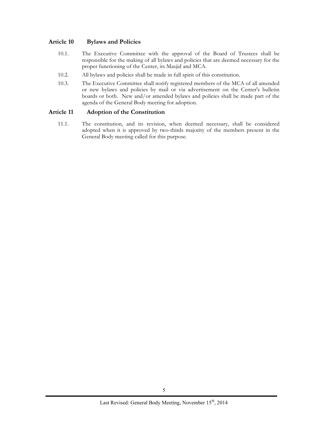#### **Article 10 Bylaws and Policies**

- 10.1. The Executive Committee with the approval of the Board of Trustees shall be responsible for the making of all bylaws and policies that are deemed necessary for the proper functioning of the Center, its Masjid and MCA.
- 10.2. All bylaws and policies shall be made in full spirit of this constitution.
- 10.3. The Executive Committee shall notify registered members of the MCA of all amended or new bylaws and policies by mail or via advertisement on the Center's bulletin boards or both. New and/or amended bylaws and policies shall be made part of the agenda of the General Body meeting for adoption.

#### **Article 11 Adoption of the Constitution**

11.1. The constitution, and its revision, when deemed necessary, shall be considered adopted when it is approved by two-thirds majority of the members present in the General Body meeting called for this purpose.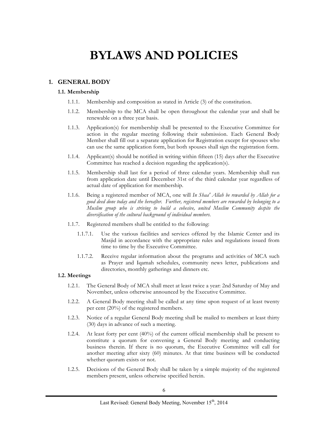## **BYLAWS AND POLICIES**

#### **1. GENERAL BODY**

#### **1.1. Membership**

- 1.1.1. Membership and composition as stated in Article (3) of the constitution.
- 1.1.2. Membership to the MCA shall be open throughout the calendar year and shall be renewable on a three year basis.
- 1.1.3. Application(s) for membership shall be presented to the Executive Committee for action in the regular meeting following their submission. Each General Body Member shall fill out a separate application for Registration except for spouses who can use the same application form, but both spouses shall sign the registration form.
- 1.1.4. Applicant(s) should be notified in writing within fifteen (15) days after the Executive Committee has reached a decision regarding the application(s).
- 1.1.5. Membership shall last for a period of three calendar years. Membership shall run from application date until December 31st of the third calendar year regardless of actual date of application for membership.
- 1.1.6. Being a registered member of MCA, one will *In Shaa' Allah be rewarded by Allah for a good deed done today and the hereafter. Further, registered members are rewarded by belonging to a Muslim group who is striving to build a cohesive, united Muslim Community despite the diversification of the cultural background of individual members.*
- 1.1.7. Registered members shall be entitled to the following:
	- 1.1.7.1. Use the various facilities and services offered by the Islamic Center and its Masjid in accordance with the appropriate rules and regulations issued from time to time by the Executive Committee.
	- 1.1.7.2. Receive regular information about the programs and activities of MCA such as Prayer and Iqamah schedules, community news letter, publications and directories, monthly gatherings and dinners etc.

#### **1.2. Meetings**

- 1.2.1. The General Body of MCA shall meet at least twice a year: 2nd Saturday of May and November, unless otherwise announced by the Executive Committee.
- 1.2.2. A General Body meeting shall be called at any time upon request of at least twenty per cent (20%) of the registered members.
- 1.2.3. Notice of a regular General Body meeting shall be mailed to members at least thirty (30) days in advance of such a meeting.
- 1.2.4. At least forty per cent (40%) of the current official membership shall be present to constitute a quorum for convening a General Body meeting and conducting business therein. If there is no quorum, the Executive Committee will call for another meeting after sixty (60) minutes. At that time business will be conducted whether quorum exists or not.
- 1.2.5. Decisions of the General Body shall be taken by a simple majority of the registered members present, unless otherwise specified herein.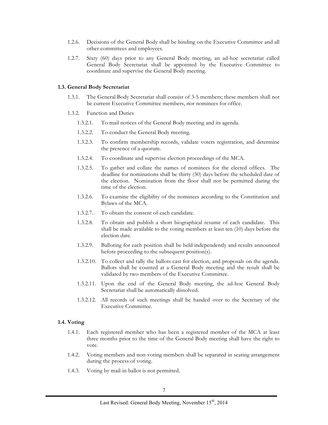- 1.2.6. Decisions of the General Body shall be binding on the Executive Committee and all other committees and employees.
- 1.2.7. Sixty (60) days prior to any General Body meeting, an ad-hoc secretariat called General Body Secretariat shall be appointed by the Executive Committee to coordinate and supervise the General Body meeting.

#### **1.3. General Body Secretariat**

- 1.3.1. The General Body Secretariat shall consist of 3-5 members; these members shall not be current Executive Committee members, nor nominees for office.
- 1.3.2. Function and Duties
	- 1.3.2.1. To mail notices of the General Body meeting and its agenda.
	- 1.3.2.2. To conduct the General Body meeting.
	- 1.3.2.3. To confirm membership records, validate voters registration, and determine the presence of a quorum.
	- 1.3.2.4. To coordinate and supervise election proceedings of the MCA.
	- 1.3.2.5. To gather and collate the names of nominees for the elected offices. The deadline for nominations shall be thirty (30) days before the scheduled date of the election. Nomination from the floor shall not be permitted during the time of the election.
	- 1.3.2.6. To examine the eligibility of the nominees according to the Constitution and Bylaws of the MCA.
	- 1.3.2.7. To obtain the consent of each candidate.
	- 1.3.2.8. To obtain and publish a short biographical resume of each candidate. This shall be made available to the voting members at least ten (10) days before the election date.
	- 1.3.2.9. Balloting for each position shall be held independently and results announced before proceeding to the subsequent position(s).
	- 1.3.2.10. To collect and tally the ballots cast for election, and proposals on the agenda. Ballots shall be counted at a General Body meeting and the result shall be validated by two members of the Executive Committee.
	- 1.3.2.11. Upon the end of the General Body meeting, the ad-hoc General Body Secretariat shall be automatically dissolved.
	- 1.3.2.12. All records of such meetings shall be handed over to the Secretary of the Executive Committee.

#### **1.4. Voting**

- 1.4.1. Each registered member who has been a registered member of the MCA at least three months prior to the time of the General Body meeting shall have the right to vote.
- 1.4.2. Voting members and non-voting members shall be separated in seating arrangement during the process of voting.
- 1.4.3. Voting by mail-in ballot is not permitted.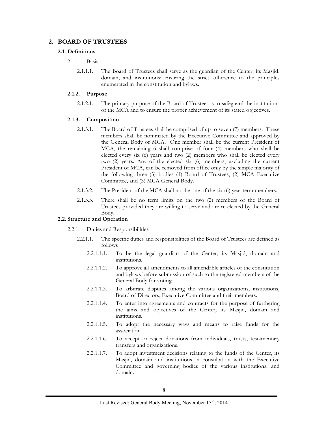#### **2. BOARD OF TRUSTEES**

#### **2.1. Definitions**

- $2.1.1$  Basis
	- 2.1.1.1. The Board of Trustees shall serve as the guardian of the Center, its Masjid, domain, and institutions; ensuring the strict adherence to the principles enumerated in the constitution and bylaws.

#### **2.1.2. Purpose**

2.1.2.1. The primary purpose of the Board of Trustees is to safeguard the institutions of the MCA and to ensure the proper achievement of its stated objectives.

#### **2.1.3. Composition**

- 2.1.3.1. The Board of Trustees shall be comprised of up to seven (7) members. These members shall be nominated by the Executive Committee and approved by the General Body of MCA. One member shall be the current President of MCA, the remaining 6 shall comprise of four (4) members who shall be elected every six (6) years and two (2) members who shall be elected every two (2) years. Any of the elected six (6) members, excluding the current President of MCA, can be removed from office only by the simple majority of the following three (3) bodies (1) Board of Trustees, (2) MCA Executive Committee, and (3) MCA General Body.
- 2.1.3.2. The President of the MCA shall not be one of the six (6) year term members.
- 2.1.3.3. There shall be no term limits on the two (2) members of the Board of Trustees provided they are willing to serve and are re-elected by the General Body.

#### **2.2. Structure and Operation**

2.2.1. Duties and Responsibilities

- 2.2.1.1. The specific duties and responsibilities of the Board of Trustees are defined as follows
	- 2.2.1.1.1. To be the legal guardian of the Center, its Masjid, domain and institutions.
	- 2.2.1.1.2. To approve all amendments to all amendable articles of the constitution and bylaws before submission of such to the registered members of the General Body for voting.
	- 2.2.1.1.3. To arbitrate disputes among the various organizations, institutions, Board of Directors, Executive Committee and their members.
	- 2.2.1.1.4. To enter into agreements and contracts for the purpose of furthering the aims and objectives of the Center, its Masjid, domain and institutions.
	- 2.2.1.1.5. To adopt the necessary ways and means to raise funds for the association.
	- 2.2.1.1.6. To accept or reject donations from individuals, trusts, testamentary transfers and organizations.
	- 2.2.1.1.7. To adopt investment decisions relating to the funds of the Center, its Masjid, domain and institutions in consultation with the Executive Committee and governing bodies of the various institutions, and domain.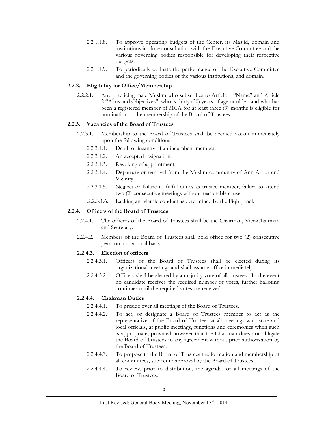- 2.2.1.1.8. To approve operating budgets of the Center, its Masjid, domain and institutions in close consultation with the Executive Committee and the various governing bodies responsible for developing their respective budgets.
- 2.2.1.1.9. To periodically evaluate the performance of the Executive Committee and the governing bodies of the various institutions, and domain.

#### **2.2.2. Eligibility for Office/Membership**

2.2.2.1. Any practicing male Muslim who subscribes to Article 1 "Name" and Article 2 "Aims and Objectives", who is thirty (30) years of age or older, and who has been a registered member of MCA for at least three (3) months is eligible for nomination to the membership of the Board of Trustees.

#### **2.2.3. Vacancies of the Board of Trustees**

- 2.2.3.1. Membership to the Board of Trustees shall be deemed vacant immediately upon the following conditions
	- 2.2.3.1.1. Death or insanity of an incumbent member.
	- 2.2.3.1.2. An accepted resignation.
	- 2.2.3.1.3. Revoking of appointment.
	- 2.2.3.1.4. Departure or removal from the Muslim community of Ann Arbor and Vicinity.
	- 2.2.3.1.5. Neglect or failure to fulfill duties as trustee member; failure to attend two (2) consecutive meetings without reasonable cause.
	- .2.2.3.1.6. Lacking an Islamic conduct as determined by the Fiqh panel.

#### **2.2.4. Officers of the Board of Trustees**

- 2.2.4.1. The officers of the Board of Trustees shall be the Chairman, Vice-Chairman and Secretary.
- 2.2.4.2. Members of the Board of Trustees shall hold office for two (2) consecutive years on a rotational basis.

#### **2.2.4.3. Election of officers**

- 2.2.4.3.1. Officers of the Board of Trustees shall be elected during its organizational meetings and shall assume office immediately.
- 2.2.4.3.2. Officers shall be elected by a majority vote of all trustees. In the event no candidate receives the required number of votes, further balloting continues until the required votes are received.

#### **2.2.4.4. Chairman Duties**

- 2.2.4.4.1. To preside over all meetings of the Board of Trustees.
- 2.2.4.4.2. To act, or designate a Board of Trustees member to act as the representative of the Board of Trustees at all meetings with state and local officials, at public meetings, functions and ceremonies when such is appropriate, provided however that the Chairman does not obligate the Board of Trustees to any agreement without prior authorization by the Board of Trustees.
- 2.2.4.4.3. To propose to the Board of Trustees the formation and membership of all committees, subject to approval by the Board of Trustees.
- 2.2.4.4.4. To review, prior to distribution, the agenda for all meetings of the Board of Trustees.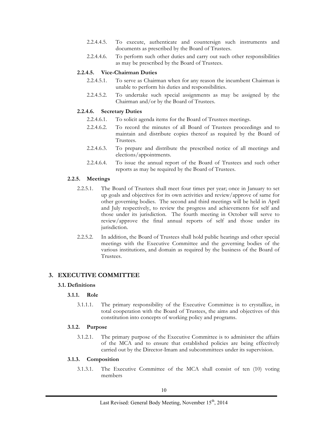- 2.2.4.4.5. To execute, authenticate and countersign such instruments and documents as prescribed by the Board of Trustees.
- 2.2.4.4.6. To perform such other duties and carry out such other responsibilities as may be prescribed by the Board of Trustees.

#### **2.2.4.5. Vice-Chairman Duties**

- 2.2.4.5.1. To serve as Chairman when for any reason the incumbent Chairman is unable to perform his duties and responsibilities.
- 2.2.4.5.2. To undertake such special assignments as may be assigned by the Chairman and/or by the Board of Trustees.

#### **2.2.4.6. Secretary Duties**

- 2.2.4.6.1. To solicit agenda items for the Board of Trustees meetings.
- 2.2.4.6.2. To record the minutes of all Board of Trustees proceedings and to maintain and distribute copies thereof as required by the Board of Trustees.
- 2.2.4.6.3. To prepare and distribute the prescribed notice of all meetings and elections/appointments.
- 2.2.4.6.4. To issue the annual report of the Board of Trustees and such other reports as may be required by the Board of Trustees.

#### **2.2.5. Meetings**

- 2.2.5.1. The Board of Trustees shall meet four times per year; once in January to set up goals and objectives for its own activities and review/approve of same for other governing bodies. The second and third meetings will be held in April and July respectively, to review the progress and achievements for self and those under its jurisdiction. The fourth meeting in October will serve to review/approve the final annual reports of self and those under its jurisdiction.
- 2.2.5.2. In addition, the Board of Trustees shall hold public hearings and other special meetings with the Executive Committee and the governing bodies of the various institutions, and domain as required by the business of the Board of Trustees.

#### **3. EXECUTIVE COMMITTEE**

#### **3.1. Definitions**

#### **3.1.1. Role**

3.1.1.1. The primary responsibility of the Executive Committee is to crystallize, in total cooperation with the Board of Trustees, the aims and objectives of this constitution into concepts of working policy and programs.

#### **3.1.2. Purpose**

3.1.2.1. The primary purpose of the Executive Committee is to administer the affairs of the MCA and to ensure that established policies are being effectively carried out by the Director-Imam and subcommittees under its supervision.

#### **3.1.3. Composition**

3.1.3.1. The Executive Committee of the MCA shall consist of ten (10) voting members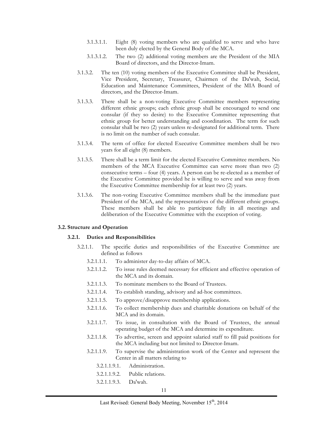- 3.1.3.1.1. Eight (8) voting members who are qualified to serve and who have been duly elected by the General Body of the MCA.
- 3.1.3.1.2. The two (2) additional voting members are the President of the MIA Board of directors, and the Director-Imam.
- 3.1.3.2. The ten (10) voting members of the Executive Committee shall be President, Vice President, Secretary, Treasurer, Chairmen of the Da'wah, Social, Education and Maintenance Committees, President of the MIA Board of directors, and the Director-Imam.
- 3.1.3.3. There shall be a non-voting Executive Committee members representing different ethnic groups; each ethnic group shall be encouraged to send one consular (if they so desire) to the Executive Committee representing that ethnic group for better understanding and coordination. The term for such consular shall be two (2) years unless re-designated for additional term. There is no limit on the number of such consular.
- 3.1.3.4. The term of office for elected Executive Committee members shall be two years for all eight (8) members.
- 3.1.3.5. There shall be a term limit for the elected Executive Committee members. No members of the MCA Executive Committee can serve more than two (2) consecutive terms – four (4) years. A person can be re-elected as a member of the Executive Committee provided he is willing to serve and was away from the Executive Committee membership for at least two (2) years.
- 3.1.3.6. The non-voting Executive Committee members shall be the immediate past President of the MCA, and the representatives of the different ethnic groups. These members shall be able to participate fully in all meetings and deliberation of the Executive Committee with the exception of voting.

#### **3.2. Structure and Operation**

#### **3.2.1. Duties and Responsibilities**

- 3.2.1.1. The specific duties and responsibilities of the Executive Committee are defined as follows
	- 3.2.1.1.1. To administer day-to-day affairs of MCA.
	- 3.2.1.1.2. To issue rules deemed necessary for efficient and effective operation of the MCA and its domain.
	- 3.2.1.1.3. To nominate members to the Board of Trustees.
	- 3.2.1.1.4. To establish standing, advisory and ad-hoc committees.
	- 3.2.1.1.5. To approve/disapprove membership applications.
	- 3.2.1.1.6. To collect membership dues and charitable donations on behalf of the MCA and its domain.
	- 3.2.1.1.7. To issue, in consultation with the Board of Trustees, the annual operating budget of the MCA and determine its expenditure.
	- 3.2.1.1.8. To advertise, screen and appoint salaried staff to fill paid positions for the MCA including but not limited to Director-Imam.
	- 3.2.1.1.9. To supervise the administration work of the Center and represent the Center in all matters relating to
		- 3.2.1.1.9.1. Administration.
		- 3.2.1.1.9.2. Public relations.
		- 3.2.1.1.9.3. Da'wah.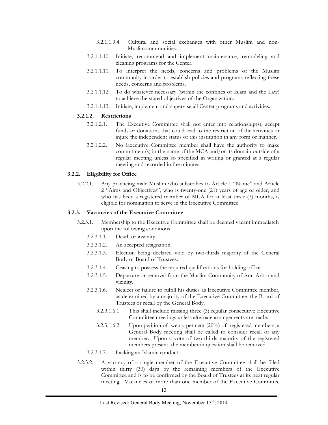- 3.2.1.1.9.4. Cultural and social exchanges with other Muslim and non-Muslim communities.
- 3.2.1.1.10. Initiate, recommend and implement maintenance, remodeling and cleaning programs for the Center.
- 3.2.1.1.11. To interpret the needs, concerns and problems of the Muslim community in order to establish policies and programs reflecting these needs, concerns and problems.
- 3.2.1.1.12. To do whatever necessary (within the confines of Islam and the Law) to achieve the stated objectives of the Organization.
- 3.2.1.1.13. Initiate, implement and supervise all Center programs and activities.

#### **3.2.1.2. Restrictions**

- 3.2.1.2.1. The Executive Committee shall not enter into relationship(s), accept funds or donations that could lead to the restriction of the activities or injure the independent status of this institution in any form or manner.
- 3.2.1.2.2. No Executive Committee member shall have the authority to make commitment(s) in the name of the MCA and/or its domain outside of a regular meeting unless so specified in writing or granted at a regular meeting and recorded in the minutes.

#### **3.2.2. Eligibility for Office**

3.2.2.1. Any practicing male Muslim who subscribes to Article 1 "Name" and Article 2 "Aims and Objectives", who is twenty-one (21) years of age or older, and who has been a registered member of MCA for at least three (3) months, is eligible for nomination to serve in the Executive Committee.

#### **3.2.3. Vacancies of the Executive Committee**

- 3.2.3.1. Membership to the Executive Committee shall be deemed vacant immediately upon the following conditions
	- 3.2.3.1.1. Death or insanity.
	- 3.2.3.1.2. An accepted resignation.
	- 3.2.3.1.3. Election being declared void by two-thirds majority of the General Body or Board of Trustees.
	- 3.2.3.1.4. Ceasing to possess the required qualifications for holding office.
	- 3.2.3.1.5. Departure or removal from the Muslim Community of Ann Arbor and vicinity.
	- 3.2.3.1.6. Neglect or failure to fulfill his duties as Executive Committee member, as determined by a majority of the Executive Committee, the Board of Trustees or recall by the General Body.
		- 3.2.3.1.6.1. This shall include missing three (3) regular consecutive Executive Committee meetings unless alternate arrangements are made.
		- 3.2.3.1.6.2. Upon petition of twenty per cent  $(20\%)$  of registered members, a General Body meeting shall be called to consider recall of any member. Upon a vote of two-thirds majority of the registered members present, the member in question shall be removed.
	- 3.2.3.1.7. Lacking an Islamic conduct.
- 3.2.3.2. A vacancy of a single member of the Executive Committee shall be filled within thirty (30) days by the remaining members of the Executive Committee and is to be confirmed by the Board of Trustees at its next regular meeting. Vacancies of more than one member of the Executive Committee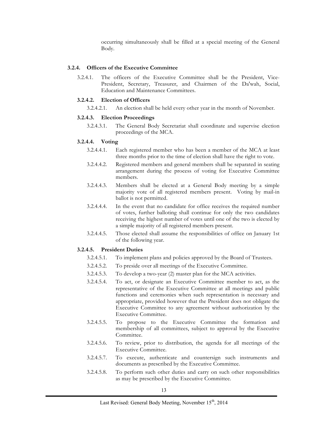occurring simultaneously shall be filled at a special meeting of the General Body.

#### **3.2.4. Officers of the Executive Committee**

3.2.4.1. The officers of the Executive Committee shall be the President, Vice-President, Secretary, Treasurer, and Chairmen of the Da'wah, Social, Education and Maintenance Committees.

#### **3.2.4.2. Election of Officers**

3.2.4.2.1. An election shall be held every other year in the month of November.

#### **3.2.4.3. Election Proceedings**

3.2.4.3.1. The General Body Secretariat shall coordinate and supervise election proceedings of the MCA.

#### **3.2.4.4. Voting**

- 3.2.4.4.1. Each registered member who has been a member of the MCA at least three months prior to the time of election shall have the right to vote.
- 3.2.4.4.2. Registered members and general members shall be separated in seating arrangement during the process of voting for Executive Committee members.
- 3.2.4.4.3. Members shall be elected at a General Body meeting by a simple majority vote of all registered members present. Voting by mail-in ballot is not permitted.
- 3.2.4.4.4. In the event that no candidate for office receives the required number of votes, further balloting shall continue for only the two candidates receiving the highest number of votes until one of the two is elected by a simple majority of all registered members present.
- 3.2.4.4.5. Those elected shall assume the responsibilities of office on January 1st of the following year.

#### **3.2.4.5. President Duties**

- 3.2.4.5.1. To implement plans and policies approved by the Board of Trustees.
- 3.2.4.5.2. To preside over all meetings of the Executive Committee.
- 3.2.4.5.3. To develop a two-year (2) master plan for the MCA activities.
- 3.2.4.5.4. To act, or designate an Executive Committee member to act, as the representative of the Executive Committee at all meetings and public functions and ceremonies when such representation is necessary and appropriate, provided however that the President does not obligate the Executive Committee to any agreement without authorization by the Executive Committee.
- 3.2.4.5.5. To propose to the Executive Committee the formation and membership of all committees, subject to approval by the Executive Committee.
- 3.2.4.5.6. To review, prior to distribution, the agenda for all meetings of the Executive Committee.
- 3.2.4.5.7. To execute, authenticate and countersign such instruments and documents as prescribed by the Executive Committee.
- 3.2.4.5.8. To perform such other duties and carry on such other responsibilities as may be prescribed by the Executive Committee.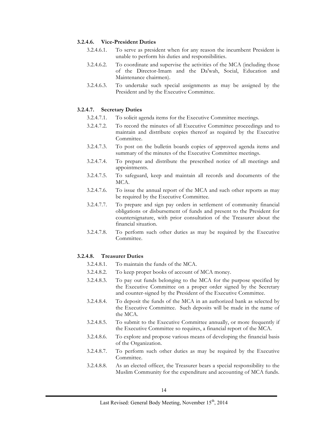#### **3.2.4.6. Vice-President Duties**

- 3.2.4.6.1. To serve as president when for any reason the incumbent President is unable to perform his duties and responsibilities.
- 3.2.4.6.2. To coordinate and supervise the activities of the MCA (including those of the Director-Imam and the Da'wah, Social, Education and Maintenance chairmen).
- 3.2.4.6.3. To undertake such special assignments as may be assigned by the President and by the Executive Committee.

#### **3.2.4.7. Secretary Duties**

- 3.2.4.7.1. To solicit agenda items for the Executive Committee meetings.
- 3.2.4.7.2. To record the minutes of all Executive Committee proceedings and to maintain and distribute copies thereof as required by the Executive Committee.
- 3.2.4.7.3. To post on the bulletin boards copies of approved agenda items and summary of the minutes of the Executive Committee meetings.
- 3.2.4.7.4. To prepare and distribute the prescribed notice of all meetings and appointments.
- 3.2.4.7.5. To safeguard, keep and maintain all records and documents of the MCA.
- 3.2.4.7.6. To issue the annual report of the MCA and such other reports as may be required by the Executive Committee.
- 3.2.4.7.7. To prepare and sign pay orders in settlement of community financial obligations or disbursement of funds and present to the President for countersignature, with prior consultation of the Treasurer about the financial situation.
- 3.2.4.7.8. To perform such other duties as may be required by the Executive Committee.

#### **3.2.4.8. Treasurer Duties**

- 3.2.4.8.1. To maintain the funds of the MCA.
- 3.2.4.8.2. To keep proper books of account of MCA money.
- 3.2.4.8.3. To pay out funds belonging to the MCA for the purpose specified by the Executive Committee on a proper order signed by the Secretary and counter-signed by the President of the Executive Committee.
- 3.2.4.8.4. To deposit the funds of the MCA in an authorized bank as selected by the Executive Committee. Such deposits will be made in the name of the MCA.
- 3.2.4.8.5. To submit to the Executive Committee annually, or more frequently if the Executive Committee so requires, a financial report of the MCA.
- 3.2.4.8.6. To explore and propose various means of developing the financial basis of the Organization.
- 3.2.4.8.7. To perform such other duties as may be required by the Executive Committee.
- 3.2.4.8.8. As an elected officer, the Treasurer bears a special responsibility to the Muslim Community for the expenditure and accounting of MCA funds.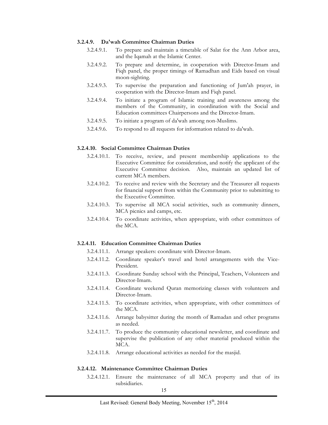#### **3.2.4.9. Da'wah Committee Chairman Duties**

- 3.2.4.9.1. To prepare and maintain a timetable of Salat for the Ann Arbor area, and the Iqamah at the Islamic Center.
- 3.2.4.9.2. To prepare and determine, in cooperation with Director-Imam and Fiqh panel, the proper timings of Ramadhan and Eids based on visual moon-sighting.
- 3.2.4.9.3. To supervise the preparation and functioning of Jum'ah prayer, in cooperation with the Director-Imam and Fiqh panel.
- 3.2.4.9.4. To initiate a program of Islamic training and awareness among the members of the Community, in coordination with the Social and Education committees Chairpersons and the Director-Imam.
- 3.2.4.9.5. To initiate a program of da'wah among non-Muslims.
- 3.2.4.9.6. To respond to all requests for information related to da'wah.

#### **3.2.4.10. Social Committee Chairman Duties**

- 3.2.4.10.1. To receive, review, and present membership applications to the Executive Committee for consideration, and notify the applicant of the Executive Committee decision. Also, maintain an updated list of current MCA members.
- 3.2.4.10.2. To receive and review with the Secretary and the Treasurer all requests for financial support from within the Community prior to submitting to the Executive Committee.
- 3.2.4.10.3. To supervise all MCA social activities, such as community dinners, MCA picnics and camps, etc.
- 3.2.4.10.4. To coordinate activities, when appropriate, with other committees of the MCA.

#### **3.2.4.11. Education Committee Chairman Duties**

- 3.2.4.11.1. Arrange speakers: coordinate with Director-Imam.
- 3.2.4.11.2. Coordinate speaker's travel and hotel arrangements with the Vice-President.
- 3.2.4.11.3. Coordinate Sunday school with the Principal, Teachers, Volunteers and Director-Imam.
- 3.2.4.11.4. Coordinate weekend Quran memorizing classes with volunteers and Director-Imam.
- 3.2.4.11.5. To coordinate activities, when appropriate, with other committees of the MCA.
- 3.2.4.11.6. Arrange babysitter during the month of Ramadan and other programs as needed.
- 3.2.4.11.7. To produce the community educational newsletter, and coordinate and supervise the publication of any other material produced within the MCA.
- 3.2.4.11.8. Arrange educational activities as needed for the masjid.

#### **3.2.4.12. Maintenance Committee Chairman Duties**

3.2.4.12.1. Ensure the maintenance of all MCA property and that of its subsidiaries.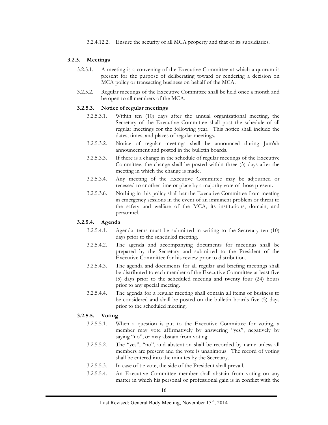#### **3.2.5. Meetings**

- 3.2.5.1. A meeting is a convening of the Executive Committee at which a quorum is present for the purpose of deliberating toward or rendering a decision on MCA policy or transacting business on behalf of the MCA.
- 3.2.5.2. Regular meetings of the Executive Committee shall be held once a month and be open to all members of the MCA.

#### **3.2.5.3. Notice of regular meetings**

- 3.2.5.3.1. Within ten (10) days after the annual organizational meeting, the Secretary of the Executive Committee shall post the schedule of all regular meetings for the following year. This notice shall include the dates, times, and places of regular meetings.
- 3.2.5.3.2. Notice of regular meetings shall be announced during Jum'ah announcement and posted in the bulletin boards.
- 3.2.5.3.3. If there is a change in the schedule of regular meetings of the Executive Committee, the change shall be posted within three (3) days after the meeting in which the change is made.
- 3.2.5.3.4. Any meeting of the Executive Committee may be adjourned or recessed to another time or place by a majority vote of those present.
- 3.2.5.3.6. Nothing in this policy shall bar the Executive Committee from meeting in emergency sessions in the event of an imminent problem or threat to the safety and welfare of the MCA, its institutions, domain, and personnel.

#### **3.2.5.4. Agenda**

- 3.2.5.4.1. Agenda items must be submitted in writing to the Secretary ten (10) days prior to the scheduled meeting.
- 3.2.5.4.2. The agenda and accompanying documents for meetings shall be prepared by the Secretary and submitted to the President of the Executive Committee for his review prior to distribution.
- 3.2.5.4.3. The agenda and documents for all regular and briefing meetings shall be distributed to each member of the Executive Committee at least five (5) days prior to the scheduled meeting and twenty four (24) hours prior to any special meeting.
- 3.2.5.4.4. The agenda for a regular meeting shall contain all items of business to be considered and shall be posted on the bulletin boards five (5) days prior to the scheduled meeting.

#### **3.2.5.5. Voting**

- 3.2.5.5.1. When a question is put to the Executive Committee for voting, a member may vote affirmatively by answering "yes", negatively by saying "no", or may abstain from voting.
- 3.2.5.5.2. The "yes", "no", and abstention shall be recorded by name unless all members are present and the vote is unanimous. The record of voting shall be entered into the minutes by the Secretary.
- 3.2.5.5.3. In case of tie vote, the side of the President shall prevail.
- 3.2.5.5.4. An Executive Committee member shall abstain from voting on any matter in which his personal or professional gain is in conflict with the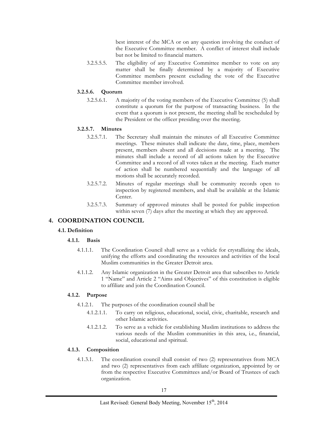best interest of the MCA or on any question involving the conduct of the Executive Committee member. A conflict of interest shall include but not be limited to financial matters.

3.2.5.5.5. The eligibility of any Executive Committee member to vote on any matter shall be finally determined by a majority of Executive Committee members present excluding the vote of the Executive Committee member involved.

#### **3.2.5.6. Quorum**

3.2.5.6.1. A majority of the voting members of the Executive Committee (5) shall constitute a quorum for the purpose of transacting business. In the event that a quorum is not present, the meeting shall be rescheduled by the President or the officer presiding over the meeting.

#### **3.2.5.7. Minutes**

- 3.2.5.7.1. The Secretary shall maintain the minutes of all Executive Committee meetings. These minutes shall indicate the date, time, place, members present, members absent and all decisions made at a meeting. The minutes shall include a record of all actions taken by the Executive Committee and a record of all votes taken at the meeting. Each matter of action shall be numbered sequentially and the language of all motions shall be accurately recorded.
- 3.2.5.7.2. Minutes of regular meetings shall be community records open to inspection by registered members, and shall be available at the Islamic Center.
- 3.2.5.7.3. Summary of approved minutes shall be posted for public inspection within seven (7) days after the meeting at which they are approved.

#### **4. COORDINATION COUNCIL**

#### **4.1. Definition**

#### **4.1.1. Basis**

- 4.1.1.1. The Coordination Council shall serve as a vehicle for crystallizing the ideals, unifying the efforts and coordinating the resources and activities of the local Muslim communities in the Greater Detroit area.
- 4.1.1.2. Any Islamic organization in the Greater Detroit area that subscribes to Article 1 "Name" and Article 2 "Aims and Objectives" of this constitution is eligible to affiliate and join the Coordination Council.

#### **4.1.2. Purpose**

- 4.1.2.1. The purposes of the coordination council shall be
	- 4.1.2.1.1. To carry on religious, educational, social, civic, charitable, research and other Islamic activities.
	- 4.1.2.1.2. To serve as a vehicle for establishing Muslim institutions to address the various needs of the Muslim communities in this area, i.e., financial, social, educational and spiritual.

#### **4.1.3. Composition**

4.1.3.1. The coordination council shall consist of two (2) representatives from MCA and two (2) representatives from each affiliate organization, appointed by or from the respective Executive Committees and/or Board of Trustees of each organization.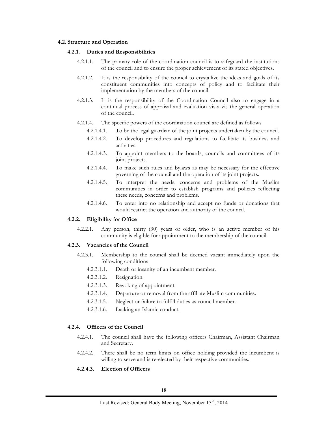#### **4.2. Structure and Operation**

#### **4.2.1. Duties and Responsibilities**

- 4.2.1.1. The primary role of the coordination council is to safeguard the institutions of the council and to ensure the proper achievement of its stated objectives.
- 4.2.1.2. It is the responsibility of the council to crystallize the ideas and goals of its constituent communities into concepts of policy and to facilitate their implementation by the members of the council.
- 4.2.1.3. It is the responsibility of the Coordination Council also to engage in a continual process of appraisal and evaluation vis-a-vis the general operation of the council.
- 4.2.1.4. The specific powers of the coordination council are defined as follows
	- 4.2.1.4.1. To be the legal guardian of the joint projects undertaken by the council.
	- 4.2.1.4.2. To develop procedures and regulations to facilitate its business and activities.
	- 4.2.1.4.3. To appoint members to the boards, councils and committees of its joint projects.
	- 4.2.1.4.4. To make such rules and bylaws as may be necessary for the effective governing of the council and the operation of its joint projects.
	- 4.2.1.4.5. To interpret the needs, concerns and problems of the Muslim communities in order to establish programs and policies reflecting these needs, concerns and problems.
	- 4.2.1.4.6. To enter into no relationship and accept no funds or donations that would restrict the operation and authority of the council.

#### **4.2.2. Eligibility for Office**

4.2.2.1. Any person, thirty (30) years or older, who is an active member of his community is eligible for appointment to the membership of the council.

#### **4.2.3. Vacancies of the Council**

- 4.2.3.1. Membership to the council shall be deemed vacant immediately upon the following conditions
	- 4.2.3.1.1. Death or insanity of an incumbent member.
	- 4.2.3.1.2. Resignation.
	- 4.2.3.1.3. Revoking of appointment.
	- 4.2.3.1.4. Departure or removal from the affiliate Muslim communities.
	- 4.2.3.1.5. Neglect or failure to fulfill duties as council member.
	- 4.2.3.1.6. Lacking an Islamic conduct.

#### **4.2.4. Officers of the Council**

- 4.2.4.1. The council shall have the following officers Chairman, Assistant Chairman and Secretary.
- 4.2.4.2. There shall be no term limits on office holding provided the incumbent is willing to serve and is re-elected by their respective communities.

#### **4.2.4.3. Election of Officers**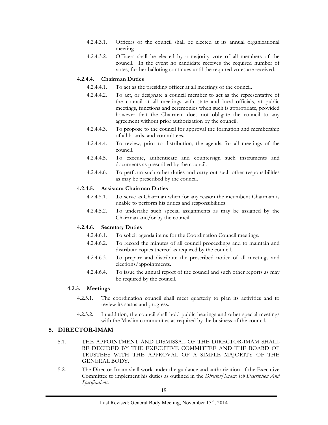- 4.2.4.3.1. Officers of the council shall be elected at its annual organizational meeting
- 4.2.4.3.2. Officers shall be elected by a majority vote of all members of the council. In the event no candidate receives the required number of votes, further balloting continues until the required votes are received.

#### **4.2.4.4. Chairman Duties**

- 4.2.4.4.1. To act as the presiding officer at all meetings of the council.
- 4.2.4.4.2. To act, or designate a council member to act as the representative of the council at all meetings with state and local officials, at public meetings, functions and ceremonies when such is appropriate, provided however that the Chairman does not obligate the council to any agreement without prior authorization by the council.
- 4.2.4.4.3. To propose to the council for approval the formation and membership of all boards, and committees.
- 4.2.4.4.4. To review, prior to distribution, the agenda for all meetings of the council.
- 4.2.4.4.5. To execute, authenticate and countersign such instruments and documents as prescribed by the council.
- 4.2.4.4.6. To perform such other duties and carry out such other responsibilities as may be prescribed by the council.

#### **4.2.4.5. Assistant Chairman Duties**

- 4.2.4.5.1. To serve as Chairman when for any reason the incumbent Chairman is unable to perform his duties and responsibilities.
- 4.2.4.5.2. To undertake such special assignments as may be assigned by the Chairman and/or by the council.

#### **4.2.4.6. Secretary Duties**

- 4.2.4.6.1. To solicit agenda items for the Coordination Council meetings.
- 4.2.4.6.2. To record the minutes of all council proceedings and to maintain and distribute copies thereof as required by the council.
- 4.2.4.6.3. To prepare and distribute the prescribed notice of all meetings and elections/appointments.
- 4.2.4.6.4. To issue the annual report of the council and such other reports as may be required by the council.

#### **4.2.5. Meetings**

- 4.2.5.1. The coordination council shall meet quarterly to plan its activities and to review its status and progress.
- 4.2.5.2. In addition, the council shall hold public hearings and other special meetings with the Muslim communities as required by the business of the council.

#### **5. DIRECTOR-IMAM**

- 5.1. THE APPOINTMENT AND DISMISSAL OF THE DIRECTOR-IMAM SHALL BE DECIDED BY THE EXECUTIVE COMMITTEE AND THE BOARD OF TRUSTEES WITH THE APPROVAL OF A SIMPLE MAJORITY OF THE GENERAL BODY.
- 5.2. The Director-Imam shall work under the guidance and authorization of the Executive Committee to implement his duties as outlined in the *Director/Imam: Job Description And Specifications.*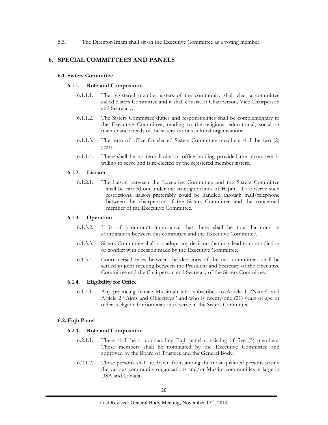5.3. The Director-Imam shall sit on the Executive Committee as a voting member.

#### **6. SPECIAL COMMITTEES AND PANELS**

#### **6.1. Sisters Committee**

#### **6.1.1. Role and Composition**

- 6.1.1.1. The registered member sisters of the community shall elect a committee called Sisters Committee and it shall consist of Chairperson, Vice Chairperson and Secretary.
- 6.1.1.2. The Sisters Committee duties and responsibilities shall be complementary to the Executive Committee; tending to the religious, educational, social or maintenance needs of the sisters various cultural organizations.
- 6.1.1.3. The term of office for elected Sisters Committee members shall be two (2) years.
- 6.1.1.4. There shall be no term limits on office holding provided the incumbent is willing to serve and is re-elected by the registered member sisters.

#### **6.1.2. Liaison**

6.1.2.1. The liaison between the Executive Committee and the Sisters Committee shall be carried out under the strict guidelines of **Hijab.** To observe such restrictions, liaison preferably could be handled through mail/telephone between the chairperson of the Sisters Committee and the concerned member of the Executive Committee.

#### **6.1.3. Operation**

- 6.1.3.2. It is of paramount importance that there shall be total harmony in coordination between this committee and the Executive Committee.
- 6.1.3.3. Sisters Committee shall not adopt any decision that may lead to contradiction or conflict with decision made by the Executive Committee.
- 6.1.3.4. Controversial cases between the decisions of the two committees shall be settled in joint meeting between the President and Secretary of the Executive Committee and the Chairperson and Secretary of the Sisters Committee.

#### **6.1.4. Eligibility for Office**

6.1.4.1. Any practicing female Muslimah who subscribes to Article 1 "Name" and Article 2 "Aims and Objectives" and who is twenty-one (21) years of age or older is eligible for nomination to serve in the Sisters Committee.

#### **6.2. Fiqh Panel**

#### **6.2.1. Role and Composition**

- 6.2.1.1. There shall be a non-standing Fiqh panel consisting of five (5) members. These members shall be nominated by the Executive Committee and approved by the Board of Trustees and the General Body.
- 6.2.1.2. These persons shall be drawn from among the most qualified persons within the various community organizations and/or Muslim communities at large in USA and Canada.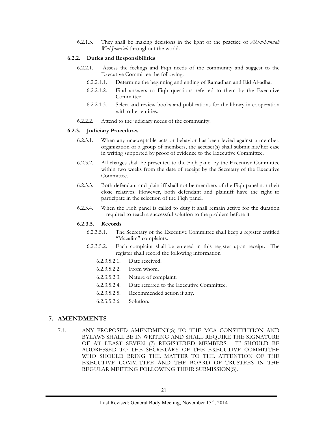6.2.1.3. They shall be making decisions in the light of the practice of *Ahl-u-Sunnah Wal Jama'ah* throughout the world*.*

#### **6.2.2. Duties and Responsibilities**

- 6.2.2.1. Assess the feelings and Fiqh needs of the community and suggest to the Executive Committee the following:
	- 6.2.2.1.1. Determine the beginning and ending of Ramadhan and Eid Al-adha.
	- 6.2.2.1.2. Find answers to Fiqh questions referred to them by the Executive Committee.
	- 6.2.2.1.3. Select and review books and publications for the library in cooperation with other entities.
- 6.2.2.2. Attend to the judiciary needs of the community.

#### **6.2.3. Judiciary Procedures**

- 6.2.3.1. When any unacceptable acts or behavior has been levied against a member, organization or a group of members, the accuser(s) shall submit his/her case in writing supported by proof of evidence to the Executive Committee.
- 6.2.3.2. All charges shall be presented to the Fiqh panel by the Executive Committee within two weeks from the date of receipt by the Secretary of the Executive Committee.
- 6.2.3.3. Both defendant and plaintiff shall not be members of the Fiqh panel nor their close relatives. However, both defendant and plaintiff have the right to participate in the selection of the Fiqh panel.
- 6.2.3.4. When the Fiqh panel is called to duty it shall remain active for the duration required to reach a successful solution to the problem before it.

#### **6.2.3.5. Records**

- 6.2.3.5.1. The Secretary of the Executive Committee shall keep a register entitled "Mazalim" complaints.
- 6.2.3.5.2. Each complaint shall be entered in this register upon receipt. The register shall record the following information
	- 6.2.3.5.2.1. Date received.
	- 6.2.3.5.2.2. From whom.
	- 6.2.3.5.2.3. Nature of complaint.
	- 6.2.3.5.2.4. Date referred to the Executive Committee.
	- 6.2.3.5.2.5. Recommended action if any.
	- 6.2.3.5.2.6. Solution.

#### **7. AMENDMENTS**

7.1. ANY PROPOSED AMENDMENT(S) TO THE MCA CONSTITUTION AND BYLAWS SHALL BE IN WRITING AND SHALL REQUIRE THE SIGNATURE OF AT LEAST SEVEN (7) REGISTERED MEMBERS. IT SHOULD BE ADDRESSED TO THE SECRETARY OF THE EXECUTIVE COMMITTEE WHO SHOULD BRING THE MATTER TO THE ATTENTION OF THE EXECUTIVE COMMITTEE AND THE BOARD OF TRUSTEES IN THE REGULAR MEETING FOLLOWING THEIR SUBMISSION(S).